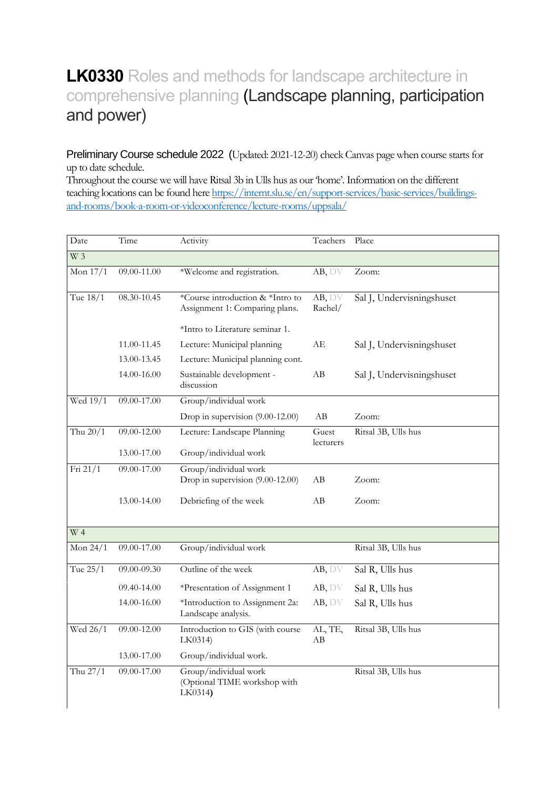## **LK0330** Roles and methods for landscape architecture in comprehensive planning (Landscape planning, participation and power)

Preliminary Course schedule 2022 (Updated: 2021-12-20) check Canvas page when course starts for up to date schedule.

Throughout the course we will have Ritsal 3b in Ulls hus as our 'home'.Information on the different teaching locations can be found her[e https://internt.slu.se/en/support-services/basic-services/buildings](https://internt.slu.se/en/support-services/basic-services/buildings-and-rooms/book-a-room-or-videoconference/lecture-rooms/uppsala/)[and-rooms/book-a-room-or-videoconference/lecture-rooms/uppsala/](https://internt.slu.se/en/support-services/basic-services/buildings-and-rooms/book-a-room-or-videoconference/lecture-rooms/uppsala/)

| Date             | Time            | Activity                                                           | Teachers           | Place                     |
|------------------|-----------------|--------------------------------------------------------------------|--------------------|---------------------------|
| W 3              |                 |                                                                    |                    |                           |
| Mon 17/1         | 09.00-11.00     | *Welcome and registration.                                         | AB, DV             | Zoom:                     |
| Tue 18/1         | $08.30 - 10.45$ | *Course introduction & *Intro to<br>Assignment 1: Comparing plans. | AB, DV<br>Rachel/  | Sal J, Undervisningshuset |
|                  |                 | *Intro to Literature seminar 1.                                    |                    |                           |
|                  | 11.00-11.45     | Lecture: Municipal planning                                        | АE                 | Sal J, Undervisningshuset |
|                  | 13.00-13.45     | Lecture: Municipal planning cont.                                  |                    |                           |
|                  | 14.00-16.00     | Sustainable development -<br>discussion                            | AВ                 | Sal J, Undervisningshuset |
| Wed 19/1         | 09.00-17.00     | Group/individual work                                              |                    |                           |
|                  |                 | Drop in supervision (9.00-12.00)                                   | AB                 | Zoom:                     |
| Thu $20/1$       | 09.00-12.00     | Lecture: Landscape Planning                                        | Guest<br>lecturers | Ritsal 3B, Ulls hus       |
|                  | 13.00-17.00     | Group/individual work                                              |                    |                           |
| Fri 21/1         | 09.00-17.00     | Group/individual work                                              |                    |                           |
|                  |                 | Drop in supervision (9.00-12.00)                                   | AВ                 | Zoom:                     |
|                  | 13.00-14.00     | Debriefing of the week                                             | AВ                 | Zoom:                     |
| $\overline{W}$ 4 |                 |                                                                    |                    |                           |
| Mon $24/1$       | 09.00-17.00     | Group/individual work                                              |                    | Ritsal 3B, Ulls hus       |
| Tue 25/1         | $09.00 - 09.30$ | Outline of the week                                                | AB, DV             | Sal R, Ulls hus           |
|                  | 09.40-14.00     | *Presentation of Assignment 1                                      | AB, DV             | Sal R, Ulls hus           |
|                  | 14.00-16.00     | *Introduction to Assignment 2a:<br>Landscape analysis.             | AB, DV             | Sal R, Ulls hus           |
| Wed 26/1         | 09.00-12.00     | Introduction to GIS (with course<br>LK0314)                        | AL, TE,<br>AB      | Ritsal 3B, Ulls hus       |
|                  | 13.00-17.00     | Group/individual work.                                             |                    |                           |
| Thu 27/1         | 09.00-17.00     | Group/individual work<br>(Optional TIME workshop with<br>LK0314)   |                    | Ritsal 3B, Ulls hus       |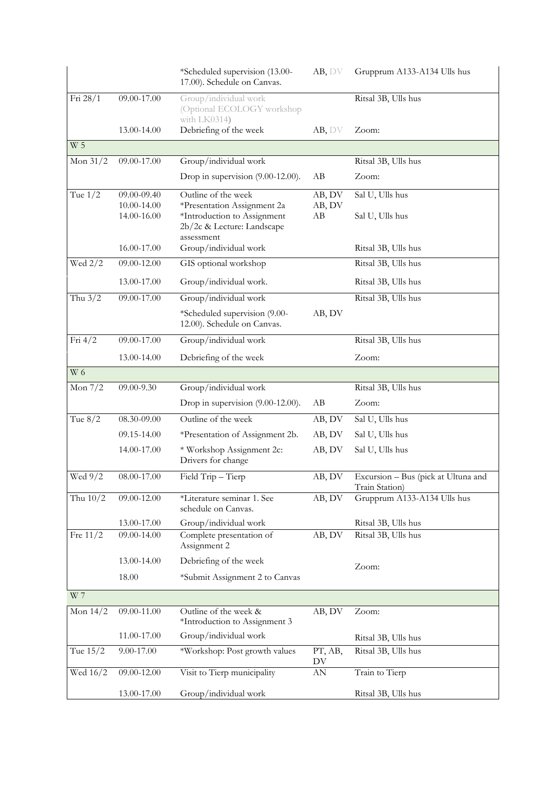|                       |             | *Scheduled supervision (13.00-<br>17.00). Schedule on Canvas.       | AB, DV                 | Grupprum A133-A134 Ulls hus                           |
|-----------------------|-------------|---------------------------------------------------------------------|------------------------|-------------------------------------------------------|
| Fri 28/1              | 09.00-17.00 | Group/individual work<br>(Optional ECOLOGY workshop<br>with LK0314) |                        | Ritsal 3B, Ulls hus                                   |
|                       | 13.00-14.00 | Debriefing of the week                                              | AB, DV                 | Zoom:                                                 |
| $\overline{W}$ 5      |             |                                                                     |                        |                                                       |
| Mon $31/2$            | 09.00-17.00 | Group/individual work                                               |                        | Ritsal 3B, Ulls hus                                   |
|                       |             | Drop in supervision (9.00-12.00).                                   | AB                     | Zoom:                                                 |
| Tue $1/\overline{2}$  | 09.00-09.40 | Outline of the week                                                 | AB, DV                 | Sal U, Ulls hus                                       |
|                       | 10.00-14.00 | *Presentation Assignment 2a                                         | AB, DV                 |                                                       |
|                       | 14.00-16.00 | *Introduction to Assignment<br>2b/2c & Lecture: Landscape           | AВ                     | Sal U, Ulls hus                                       |
|                       | 16.00-17.00 | assessment<br>Group/individual work                                 |                        | Ritsal 3B, Ulls hus                                   |
| Wed $2/2$             | 09.00-12.00 | GIS optional workshop                                               |                        | Ritsal 3B, Ulls hus                                   |
|                       | 13.00-17.00 | Group/individual work.                                              |                        | Ritsal 3B, Ulls hus                                   |
| Thu $3/2$             | 09.00-17.00 | Group/individual work                                               |                        | Ritsal 3B, Ulls hus                                   |
|                       |             | *Scheduled supervision (9.00-<br>12.00). Schedule on Canvas.        | AB, DV                 |                                                       |
| Fri $4/2$             | 09.00-17.00 | Group/individual work                                               |                        | Ritsal 3B, Ulls hus                                   |
|                       | 13.00-14.00 | Debriefing of the week                                              |                        | Zoom:                                                 |
| $W_6$                 |             |                                                                     |                        |                                                       |
| Mon $7/2$             | 09.00-9.30  | Group/individual work                                               |                        | Ritsal 3B, Ulls hus                                   |
|                       |             | Drop in supervision (9.00-12.00).                                   | AB                     | Zoom:                                                 |
| Tue $8/2$             | 08.30-09.00 | Outline of the week                                                 | AB, DV                 | Sal U, Ulls hus                                       |
|                       | 09.15-14.00 | *Presentation of Assignment 2b.                                     | AB, DV                 | Sal U, Ulls hus                                       |
|                       | 14.00-17.00 | * Workshop Assignment 2c:<br>Drivers for change                     | AB, DV                 | Sal U, Ulls hus                                       |
| Wed 9/2               | 08.00-17.00 | Field Trip - Tierp                                                  | AB, DV                 | Excursion - Bus (pick at Ultuna and<br>Train Station) |
| Thu $10/2$            | 09.00-12.00 | *Literature seminar 1. See<br>schedule on Canvas.                   | AB, DV                 | Grupprum A133-A134 Ulls hus                           |
|                       | 13.00-17.00 | Group/individual work                                               |                        | Ritsal 3B, Ulls hus                                   |
| Fre $11\overline{2}$  | 09.00-14.00 | Complete presentation of<br>Assignment 2                            | AB, DV                 | Ritsal 3B, Ulls hus                                   |
|                       | 13.00-14.00 | Debriefing of the week                                              |                        | Zoom:                                                 |
|                       | 18.00       | *Submit Assignment 2 to Canvas                                      |                        |                                                       |
| W 7                   |             |                                                                     |                        |                                                       |
| Mon $14/2$            | 09.00-11.00 | Outline of the week &<br>*Introduction to Assignment 3              | AB, DV                 | Zoom:                                                 |
|                       | 11.00-17.00 | Group/individual work                                               |                        | Ritsal 3B, Ulls hus                                   |
| Tue $\overline{15/2}$ | 9.00-17.00  | *Workshop: Post growth values                                       | PT, AB,<br>DV          | Ritsal 3B, Ulls hus                                   |
| Wed 16/2              | 09.00-12.00 | Visit to Tierp municipality                                         | $\mathbf{A}\mathbf{N}$ | Train to Tierp                                        |
|                       | 13.00-17.00 | Group/individual work                                               |                        | Ritsal 3B, Ulls hus                                   |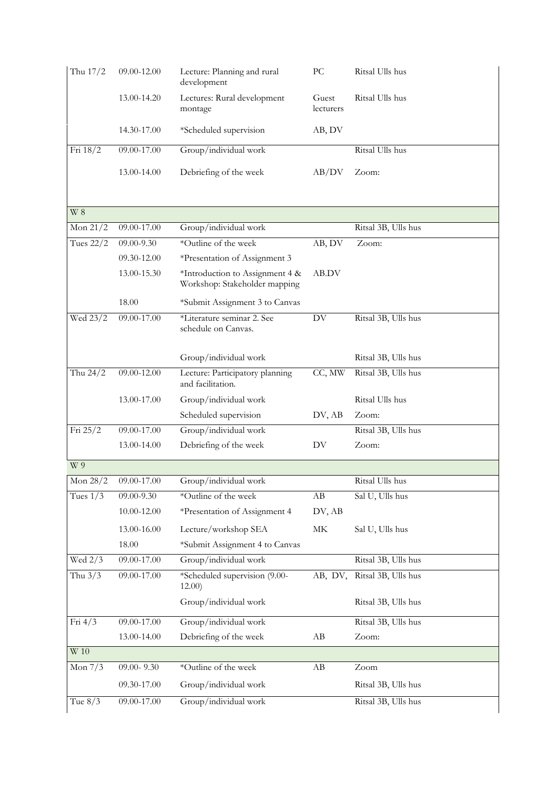| Thu 17/2         | 09.00-12.00   | Lecture: Planning and rural<br>development           | PC                  | Ritsal Ulls hus     |
|------------------|---------------|------------------------------------------------------|---------------------|---------------------|
|                  | 13.00-14.20   | Lectures: Rural development<br>montage               | Guest<br>lecturers  | Ritsal Ulls hus     |
|                  | 14.30-17.00   | *Scheduled supervision                               | AB, DV              |                     |
| Fri 18/2         | 09.00-17.00   | Group/individual work                                |                     | Ritsal Ulls hus     |
|                  | 13.00-14.00   | Debriefing of the week                               | AB/DV               | Zoom:               |
| W <sub>8</sub>   |               |                                                      |                     |                     |
| Mon $21/2$       | 09.00-17.00   | Group/individual work                                |                     | Ritsal 3B, Ulls hus |
| <b>Tues 22/2</b> | 09.00-9.30    | *Outline of the week                                 | AB, DV              | Zoom:               |
|                  | 09.30-12.00   | *Presentation of Assignment 3                        |                     |                     |
|                  | 13.00-15.30   | *Introduction to Assignment 4 &                      | AB.DV               |                     |
|                  |               | Workshop: Stakeholder mapping                        |                     |                     |
|                  | 18.00         | *Submit Assignment 3 to Canvas                       |                     |                     |
| Wed 23/2         | 09.00-17.00   | *Literature seminar 2. See<br>schedule on Canvas.    | DV                  | Ritsal 3B, Ulls hus |
|                  |               | Group/individual work                                |                     | Ritsal 3B, Ulls hus |
| Thu 24/2         | 09.00-12.00   | Lecture: Participatory planning<br>and facilitation. | CC, MW              | Ritsal 3B, Ulls hus |
|                  | 13.00-17.00   | Group/individual work                                |                     | Ritsal Ulls hus     |
|                  |               | Scheduled supervision                                | DV, AB              | Zoom:               |
| Fri 25/2         | 09.00-17.00   | Group/individual work                                |                     | Ritsal 3B, Ulls hus |
|                  | 13.00-14.00   | Debriefing of the week                               | DV                  | Zoom:               |
| W 9              |               |                                                      |                     |                     |
| Mon $28/2$       | 09.00-17.00   | Group/individual work                                |                     | Ritsal Ulls hus     |
| Tues $1/3$       | 09.00-9.30    | *Outline of the week                                 | AB                  | Sal U, Ulls hus     |
|                  | 10.00-12.00   | *Presentation of Assignment 4                        | DV, AB              |                     |
|                  | 13.00-16.00   | Lecture/workshop SEA                                 | $\operatorname{MK}$ | Sal U, Ulls hus     |
|                  | 18.00         | *Submit Assignment 4 to Canvas                       |                     |                     |
| Wed 2/3          | 09.00-17.00   | Group/individual work                                |                     | Ritsal 3B, Ulls hus |
| Thu $3/3$        | 09.00-17.00   | *Scheduled supervision (9.00-<br>12.00)              | AB, DV,             | Ritsal 3B, Ulls hus |
|                  |               | Group/individual work                                |                     | Ritsal 3B, Ulls hus |
| Fri $4/3$        | 09.00-17.00   | Group/individual work                                |                     | Ritsal 3B, Ulls hus |
|                  | 13.00-14.00   | Debriefing of the week                               | AB                  | Zoom:               |
| W <sub>10</sub>  |               |                                                      |                     |                     |
| Mon $7/3$        | 09.00- $9.30$ | *Outline of the week                                 | AB                  | Zoom                |
|                  | 09.30-17.00   | Group/individual work                                |                     | Ritsal 3B, Ulls hus |
|                  |               |                                                      |                     |                     |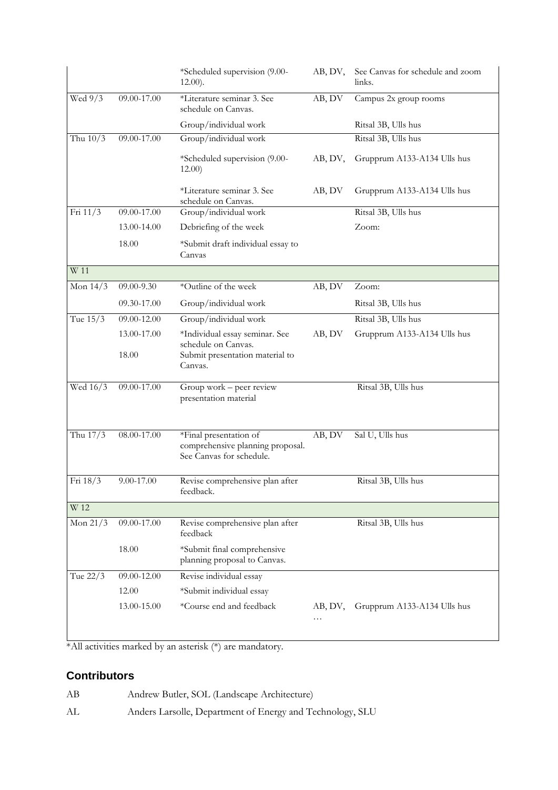|            |             | *Scheduled supervision (9.00-<br>$12.00$ ).                  | AB, DV,      | See Canvas for schedule and zoom<br>links. |
|------------|-------------|--------------------------------------------------------------|--------------|--------------------------------------------|
| Wed 9/3    | 09.00-17.00 | *Literature seminar 3. See<br>schedule on Canvas.            | AB, DV       | Campus 2x group rooms                      |
|            |             | Group/individual work                                        |              | Ritsal 3B, Ulls hus                        |
| Thu $10/3$ | 09.00-17.00 | Group/individual work                                        |              | Ritsal 3B, Ulls hus                        |
|            |             | *Scheduled supervision (9.00-<br>12.00)                      | AB, DV,      | Grupprum A133-A134 Ulls hus                |
|            |             | *Literature seminar 3. See<br>schedule on Canvas.            | AB, DV       | Grupprum A133-A134 Ulls hus                |
| Fri 11/3   | 09.00-17.00 | Group/individual work                                        |              | Ritsal 3B, Ulls hus                        |
|            | 13.00-14.00 | Debriefing of the week                                       |              | Zoom:                                      |
|            | 18.00       | *Submit draft individual essay to<br>Canvas                  |              |                                            |
| W 11       |             |                                                              |              |                                            |
| Mon $14/3$ | 09.00-9.30  | *Outline of the week                                         | AB, DV       | Zoom:                                      |
|            | 09.30-17.00 | Group/individual work                                        |              | Ritsal 3B, Ulls hus                        |
| Tue 15/3   | 09.00-12.00 | Group/individual work                                        |              | Ritsal 3B, Ulls hus                        |
|            | 13.00-17.00 | *Individual essay seminar. See<br>schedule on Canvas.        | AB, DV       | Grupprum A133-A134 Ulls hus                |
|            | 18.00       | Submit presentation material to<br>Canvas.                   |              |                                            |
| Wed 16/3   | 09.00-17.00 | Group work - peer review<br>presentation material            |              | Ritsal 3B, Ulls hus                        |
| Thu 17/3   | 08.00-17.00 | *Final presentation of                                       | AB, DV       | Sal U, Ulls hus                            |
|            |             | comprehensive planning proposal.<br>See Canvas for schedule. |              |                                            |
| Fri 18/3   | 9.00-17.00  | Revise comprehensive plan after<br>feedback.                 |              | Ritsal 3B, Ulls hus                        |
| W 12       |             |                                                              |              |                                            |
| Mon $21/3$ | 09.00-17.00 | Revise comprehensive plan after<br>feedback                  |              | Ritsal 3B, Ulls hus                        |
|            | 18.00       | *Submit final comprehensive<br>planning proposal to Canvas.  |              |                                            |
| Tue 22/3   | 09.00-12.00 | Revise individual essay                                      |              |                                            |
|            | 12.00       | *Submit individual essay                                     |              |                                            |
|            | 13.00-15.00 | *Course end and feedback                                     | AB, DV,<br>. | Grupprum A133-A134 Ulls hus                |
|            |             |                                                              |              |                                            |

\*All activities marked by an asterisk (\*) are mandatory.

## **Contributors**

AB Andrew Butler, SOL (Landscape Architecture) AL Anders Larsolle, Department of Energy and Technology, SLU